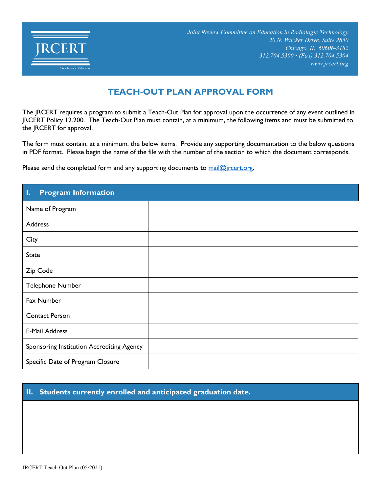

# **TEACH-OUT PLAN APPROVAL FORM**

The JRCERT requires a program to submit a Teach-Out Plan for approval upon the occurrence of any event outlined in JRCERT Policy 12.200. The Teach-Out Plan must contain, at a minimum, the following items and must be submitted to the JRCERT for approval.

The form must contain, at a minimum, the below items. Provide any supporting documentation to the below questions in PDF format. Please begin the name of the file with the number of the section to which the document corresponds.

Please send the completed form and any supporting documents to mail@jrcert.org.

| <b>Program Information</b><br>Ι.          |  |
|-------------------------------------------|--|
| Name of Program                           |  |
| Address                                   |  |
| City                                      |  |
| <b>State</b>                              |  |
| Zip Code                                  |  |
| Telephone Number                          |  |
| Fax Number                                |  |
| <b>Contact Person</b>                     |  |
| <b>E-Mail Address</b>                     |  |
| Sponsoring Institution Accrediting Agency |  |
| Specific Date of Program Closure          |  |

## **II. Students currently enrolled and anticipated graduation date.**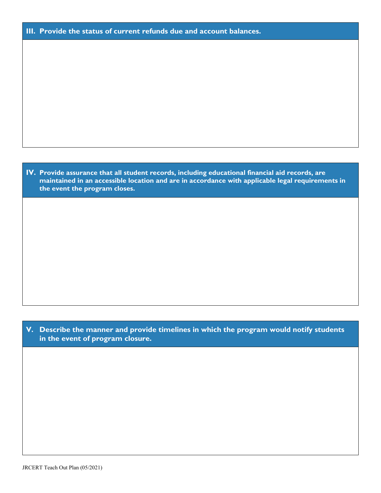| III. Provide the status of current refunds due and account balances. |  |  |  |
|----------------------------------------------------------------------|--|--|--|
|                                                                      |  |  |  |

| IV. Provide assurance that all student records, including educational financial aid records, are |
|--------------------------------------------------------------------------------------------------|
| maintained in an accessible location and are in accordance with applicable legal requirements in |
| the event the program closes.                                                                    |

#### **V. Describe the manner and provide timelines in which the program would notify students in the event of program closure.**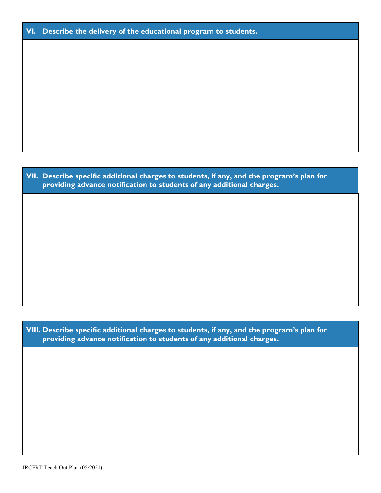### **VI. Describe the delivery of the educational program to students.**

**VII. Describe specific additional charges to students, if any, and the program's plan for providing advance notification to students of any additional charges.**

**VIII. Describe specific additional charges to students, if any, and the program's plan for providing advance notification to students of any additional charges.**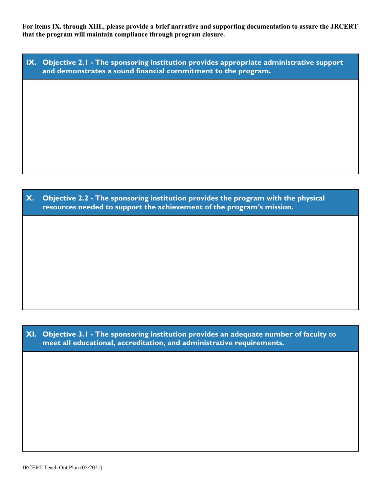**For items IX. through XIII., please provide a brief narrative and supporting documentation to assure the JRCERT that the program will maintain compliance through program closure.**

| IX. Objective 2.1 - The sponsoring institution provides appropriate administrative support |
|--------------------------------------------------------------------------------------------|
| $\mathsf{I}$ and demonstrates a sound financial commitment to the program. $\mathsf{I}$    |

**X. Objective 2.2 - The sponsoring institution provides the program with the physical resources needed to support the achievement of the program's mission.**

**XI. Objective 3.1 - The sponsoring institution provides an adequate number of faculty to meet all educational, accreditation, and administrative requirements.**